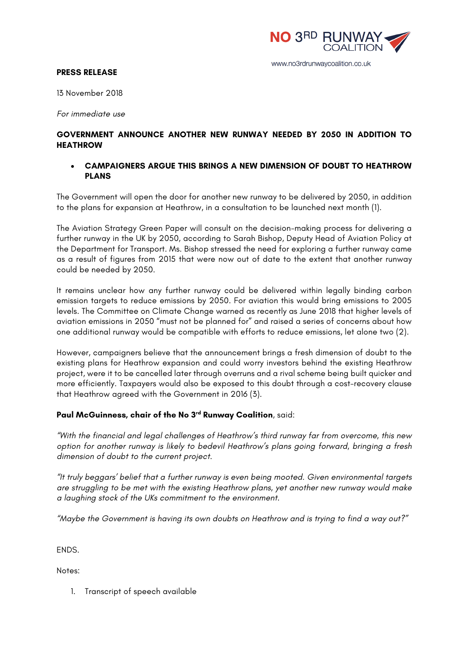

#### www.no3rdrunwaycoalition.co.uk

#### **PRESS RELEASE**

13 November 2018

*For immediate use*

# **GOVERNMENT ANNOUNCE ANOTHER NEW RUNWAY NEEDED BY 2050 IN ADDITION TO HEATHROW**

### • **CAMPAIGNERS ARGUE THIS BRINGS A NEW DIMENSION OF DOUBT TO HEATHROW PLANS**

The Government will open the door for another new runway to be delivered by 2050, in addition to the plans for expansion at Heathrow, in a consultation to be launched next month (1).

The Aviation Strategy Green Paper will consult on the decision-making process for delivering a further runway in the UK by 2050, according to Sarah Bishop, Deputy Head of Aviation Policy at the Department for Transport. Ms. Bishop stressed the need for exploring a further runway came as a result of figures from 2015 that were now out of date to the extent that another runway could be needed by 2050.

It remains unclear how any further runway could be delivered within legally binding carbon emission targets to reduce emissions by 2050. For aviation this would bring emissions to 2005 levels. The Committee on Climate Change warned as recently as June 2018 that higher levels of aviation emissions in 2050 "must not be planned for" and raised a series of concerns about how one additional runway would be compatible with efforts to reduce emissions, let alone two (2).

However, campaigners believe that the announcement brings a fresh dimension of doubt to the existing plans for Heathrow expansion and could worry investors behind the existing Heathrow project, were it to be cancelled later through overruns and a rival scheme being built quicker and more efficiently. Taxpayers would also be exposed to this doubt through a cost-recovery clause that Heathrow agreed with the Government in 2016 (3).

# **Paul McGuinness, chair of the No 3rd Runway Coalition**, said:

*"With the financial and legal challenges of Heathrow's third runway far from overcome, this new option for another runway is likely to bedevil Heathrow's plans going forward, bringing a fresh dimension of doubt to the current project.*

*"It truly beggars' belief that a further runway is even being mooted. Given environmental targets are struggling to be met with the existing Heathrow plans, yet another new runway would make a laughing stock of the UKs commitment to the environment.*

*"Maybe the Government is having its own doubts on Heathrow and is trying to find a way out?"*

ENDS.

Notes:

1. Transcript of speech available